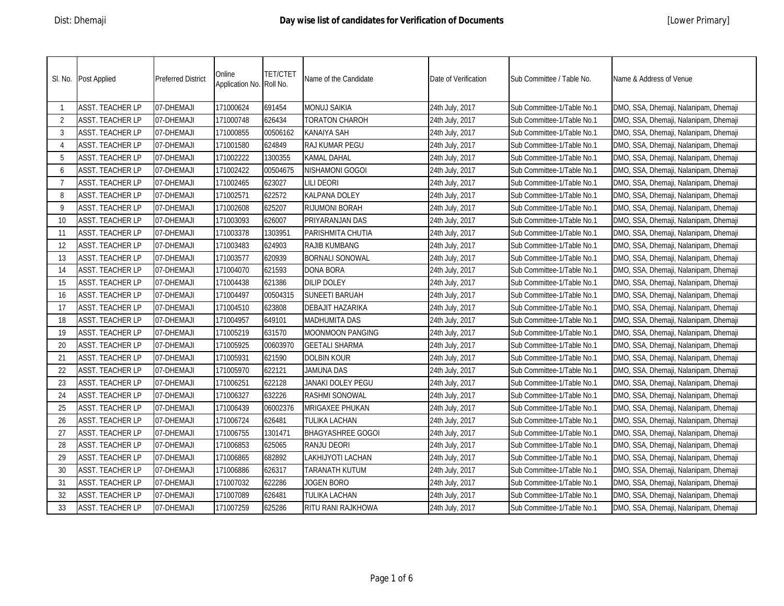|                           | SI. No. Post Applied    | <b>Preferred District</b> | Online<br>Application No. Roll No. | <b>TET/CTET</b> | Name of the Candidate    | Date of Verification | Sub Committee / Table No.  | Name & Address of Venue               |
|---------------------------|-------------------------|---------------------------|------------------------------------|-----------------|--------------------------|----------------------|----------------------------|---------------------------------------|
| -1                        | <b>ASST. TEACHER LP</b> | 07-DHEMAJI                | 171000624                          | 691454          | <b>MONUJ SAIKIA</b>      | 24th July, 2017      | Sub Committee-1/Table No.1 | DMO, SSA, Dhemaji, Nalanipam, Dhemaji |
| $\overline{2}$            | <b>ASST. TEACHER LP</b> | 07-DHEMAJI                | 171000748                          | 626434          | TORATON CHAROH           | 24th July, 2017      | Sub Committee-1/Table No.1 | DMO, SSA, Dhemaji, Nalanipam, Dhemaji |
| 3                         | <b>ASST. TEACHER LP</b> | 07-DHEMAJI                | 171000855                          | 00506162        | <b>KANAIYA SAH</b>       | 24th July, 2017      | Sub Committee-1/Table No.1 | DMO, SSA, Dhemaji, Nalanipam, Dhemaji |
| $\boldsymbol{\varLambda}$ | <b>ASST. TEACHER LP</b> | 07-DHEMAJI                | 171001580                          | 624849          | RAJ KUMAR PEGU           | 24th July, 2017      | Sub Committee-1/Table No.1 | DMO, SSA, Dhemaji, Nalanipam, Dhemaji |
| 5                         | <b>ASST. TEACHER LP</b> | 07-DHEMAJI                | 171002222                          | 1300355         | KAMAL DAHAL              | 24th July, 2017      | Sub Committee-1/Table No.1 | DMO, SSA, Dhemaji, Nalanipam, Dhemaji |
| 6                         | <b>ASST. TEACHER LP</b> | 07-DHEMAJI                | 171002422                          | 00504675        | NISHAMONI GOGOI          | 24th July, 2017      | Sub Committee-1/Table No.1 | DMO, SSA, Dhemaji, Nalanipam, Dhemaji |
| $\overline{7}$            | <b>ASST. TEACHER LP</b> | 07-DHEMAJI                | 171002465                          | 623027          | LILI DEORI               | 24th July, 2017      | Sub Committee-1/Table No.1 | DMO, SSA, Dhemaji, Nalanipam, Dhemaji |
| 8                         | <b>ASST. TEACHER LP</b> | 07-DHEMAJI                | 171002571                          | 622572          | KALPANA DOLEY            | 24th July, 2017      | Sub Committee-1/Table No.1 | DMO, SSA, Dhemaji, Nalanipam, Dhemaji |
| 9                         | <b>ASST. TEACHER LP</b> | 07-DHEMAJI                | 171002608                          | 625207          | RIJUMONI BORAH           | 24th July, 2017      | Sub Committee-1/Table No.1 | DMO, SSA, Dhemaji, Nalanipam, Dhemaji |
| 10                        | ASST. TEACHER LP        | 07-DHEMAJI                | 171003093                          | 626007          | PRIYARANJAN DAS          | 24th July, 2017      | Sub Committee-1/Table No.1 | DMO, SSA, Dhemaji, Nalanipam, Dhemaji |
| 11                        | <b>ASST. TEACHER LP</b> | 07-DHEMAJI                | 171003378                          | 1303951         | PARISHMITA CHUTIA        | 24th July, 2017      | Sub Committee-1/Table No.1 | DMO, SSA, Dhemaji, Nalanipam, Dhemaji |
| 12                        | <b>ASST. TEACHER LP</b> | 07-DHEMAJI                | 171003483                          | 624903          | RAJIB KUMBANG            | 24th July, 2017      | Sub Committee-1/Table No.1 | DMO, SSA, Dhemaji, Nalanipam, Dhemaji |
| 13                        | <b>ASST. TEACHER LP</b> | 07-DHEMAJI                | 171003577                          | 620939          | <b>BORNALI SONOWAL</b>   | 24th July, 2017      | Sub Committee-1/Table No.1 | DMO, SSA, Dhemaji, Nalanipam, Dhemaji |
| 14                        | <b>ASST. TEACHER LP</b> | 07-DHEMAJI                | 171004070                          | 621593          | DONA BORA                | 24th July, 2017      | Sub Committee-1/Table No.1 | DMO, SSA, Dhemaji, Nalanipam, Dhemaji |
| 15                        | <b>ASST. TEACHER LP</b> | 07-DHEMAJI                | 171004438                          | 621386          | <b>DILIP DOLEY</b>       | 24th July, 2017      | Sub Committee-1/Table No.1 | DMO, SSA, Dhemaji, Nalanipam, Dhemaji |
| 16                        | <b>ASST. TEACHER LP</b> | 07-DHEMAJI                | 171004497                          | 00504315        | <b>SUNEETI BARUAH</b>    | 24th July, 2017      | Sub Committee-1/Table No.1 | DMO, SSA, Dhemaji, Nalanipam, Dhemaji |
| 17                        | <b>ASST. TEACHER LP</b> | 07-DHEMAJI                | 171004510                          | 623808          | DEBAJIT HAZARIKA         | 24th July, 2017      | Sub Committee-1/Table No.1 | DMO, SSA, Dhemaji, Nalanipam, Dhemaji |
| 18                        | <b>ASST. TEACHER LP</b> | 07-DHEMAJI                | 171004957                          | 649101          | MADHUMITA DAS            | 24th July, 2017      | Sub Committee-1/Table No.1 | DMO, SSA, Dhemaji, Nalanipam, Dhemaji |
| 19                        | <b>ASST. TEACHER LP</b> | 07-DHEMAJI                | 171005219                          | 631570          | MOONMOON PANGING         | 24th July, 2017      | Sub Committee-1/Table No.1 | DMO, SSA, Dhemaji, Nalanipam, Dhemaji |
| 20                        | <b>ASST. TEACHER LP</b> | 07-DHEMAJI                | 171005925                          | 00603970        | <b>GEETALI SHARMA</b>    | 24th July, 2017      | Sub Committee-1/Table No.1 | DMO, SSA, Dhemaji, Nalanipam, Dhemaji |
| 21                        | <b>ASST. TEACHER LP</b> | 07-DHEMAJI                | 171005931                          | 621590          | <b>DOLBIN KOUR</b>       | 24th July, 2017      | Sub Committee-1/Table No.1 | DMO, SSA, Dhemaji, Nalanipam, Dhemaji |
| 22                        | <b>ASST. TEACHER LP</b> | 07-DHEMAJI                | 171005970                          | 622121          | JAMUNA DAS               | 24th July, 2017      | Sub Committee-1/Table No.1 | DMO, SSA, Dhemaji, Nalanipam, Dhemaji |
| 23                        | <b>ASST. TEACHER LP</b> | 07-DHEMAJI                | 171006251                          | 622128          | JANAKI DOLEY PEGU        | 24th July, 2017      | Sub Committee-1/Table No.1 | DMO, SSA, Dhemaji, Nalanipam, Dhemaji |
| 24                        | <b>ASST. TEACHER LP</b> | 07-DHEMAJI                | 171006327                          | 632226          | RASHMI SONOWAL           | 24th July, 2017      | Sub Committee-1/Table No.1 | DMO, SSA, Dhemaji, Nalanipam, Dhemaji |
| 25                        | <b>ASST. TEACHER LP</b> | 07-DHEMAJI                | 171006439                          | 06002376        | MRIGAXEE PHUKAN          | 24th July, 2017      | Sub Committee-1/Table No.1 | DMO, SSA, Dhemaji, Nalanipam, Dhemaji |
| 26                        | <b>ASST. TEACHER LP</b> | 07-DHEMAJI                | 171006724                          | 626481          | TULIKA LACHAN            | 24th July, 2017      | Sub Committee-1/Table No.1 | DMO, SSA, Dhemaji, Nalanipam, Dhemaji |
| 27                        | <b>ASST. TEACHER LP</b> | 07-DHEMAJI                | 171006755                          | 1301471         | <b>BHAGYASHREE GOGOI</b> | 24th July, 2017      | Sub Committee-1/Table No.1 | DMO, SSA, Dhemaji, Nalanipam, Dhemaji |
| 28                        | <b>ASST. TEACHER LP</b> | 07-DHEMAJI                | 171006853                          | 625065          | RANJU DEORI              | 24th July, 2017      | Sub Committee-1/Table No.1 | DMO, SSA, Dhemaji, Nalanipam, Dhemaji |
| 29                        | <b>ASST. TEACHER LP</b> | 07-DHEMAJI                | 171006865                          | 682892          | LAKHIJYOTI LACHAN        | 24th July, 2017      | Sub Committee-1/Table No.1 | DMO, SSA, Dhemaji, Nalanipam, Dhemaji |
| 30                        | <b>ASST. TEACHER LP</b> | 07-DHEMAJI                | 171006886                          | 626317          | TARANATH KUTUM           | 24th July, 2017      | Sub Committee-1/Table No.1 | DMO, SSA, Dhemaji, Nalanipam, Dhemaji |
| 31                        | ASST. TEACHER LP        | 07-DHEMAJI                | 171007032                          | 622286          | <b>JOGEN BORO</b>        | 24th July, 2017      | Sub Committee-1/Table No.1 | DMO, SSA, Dhemaji, Nalanipam, Dhemaji |
| 32                        | <b>ASST. TEACHER LP</b> | 07-DHEMAJI                | 171007089                          | 626481          | TULIKA LACHAN            | 24th July, 2017      | Sub Committee-1/Table No.1 | DMO, SSA, Dhemaji, Nalanipam, Dhemaji |
| 33                        | <b>ASST. TEACHER LP</b> | 07-DHEMAJI                | 171007259                          | 625286          | RITU RANI RAJKHOWA       | 24th July, 2017      | Sub Committee-1/Table No.1 | DMO, SSA, Dhemaji, Nalanipam, Dhemaji |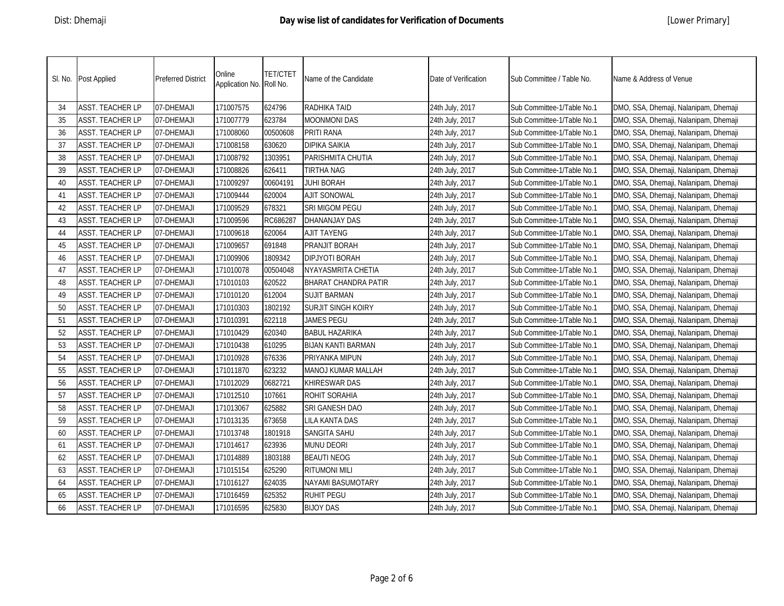|    | SI. No. Post Applied    | <b>Preferred District</b> | Online<br>Application No. Roll No. | <b>TET/CTET</b> | Name of the Candidate | Date of Verification | Sub Committee / Table No.  | Name & Address of Venue               |
|----|-------------------------|---------------------------|------------------------------------|-----------------|-----------------------|----------------------|----------------------------|---------------------------------------|
| 34 | <b>ASST. TEACHER LP</b> | 07-DHEMAJI                | 171007575                          | 624796          | RADHIKA TAID          | 24th July, 2017      | Sub Committee-1/Table No.1 | DMO, SSA, Dhemaji, Nalanipam, Dhemaji |
| 35 | <b>ASST. TEACHER LP</b> | 07-DHEMAJI                | 171007779                          | 623784          | <b>MOONMONI DAS</b>   | 24th July, 2017      | Sub Committee-1/Table No.1 | DMO, SSA, Dhemaji, Nalanipam, Dhemaji |
| 36 | <b>ASST. TEACHER LP</b> | 07-DHEMAJI                | 171008060                          | 00500608        | PRITI RANA            | 24th July, 2017      | Sub Committee-1/Table No.1 | DMO, SSA, Dhemaji, Nalanipam, Dhemaji |
| 37 | <b>ASST. TEACHER LP</b> | 07-DHEMAJI                | 171008158                          | 630620          | <b>DIPIKA SAIKIA</b>  | 24th July, 2017      | Sub Committee-1/Table No.1 | DMO, SSA, Dhemaji, Nalanipam, Dhemaji |
| 38 | <b>ASST. TEACHER LP</b> | 07-DHEMAJI                | 171008792                          | 1303951         | PARISHMITA CHUTIA     | 24th July, 2017      | Sub Committee-1/Table No.1 | DMO, SSA, Dhemaji, Nalanipam, Dhemaji |
| 39 | <b>ASST. TEACHER LP</b> | 07-DHEMAJI                | 171008826                          | 626411          | <b>TIRTHA NAG</b>     | 24th July, 2017      | Sub Committee-1/Table No.1 | DMO, SSA, Dhemaji, Nalanipam, Dhemaji |
| 40 | <b>ASST. TEACHER LP</b> | 07-DHEMAJI                | 171009297                          | 00604191        | JUHI BORAH            | 24th July, 2017      | Sub Committee-1/Table No.1 | DMO, SSA, Dhemaji, Nalanipam, Dhemaji |
| 41 | <b>ASST. TEACHER LP</b> | 07-DHEMAJI                | 171009444                          | 620004          | <b>AJIT SONOWAL</b>   | 24th July, 2017      | Sub Committee-1/Table No.1 | DMO, SSA, Dhemaji, Nalanipam, Dhemaji |
| 42 | <b>ASST. TEACHER LP</b> | 07-DHEMAJI                | 171009529                          | 678321          | SRI MIGOM PEGU        | 24th July, 2017      | Sub Committee-1/Table No.1 | DMO, SSA, Dhemaji, Nalanipam, Dhemaji |
| 43 | <b>ASST. TEACHER LP</b> | 07-DHEMAJI                | 171009596                          | RC686287        | DHANANJAY DAS         | 24th July, 2017      | Sub Committee-1/Table No.1 | DMO, SSA, Dhemaji, Nalanipam, Dhemaji |
| 44 | <b>ASST. TEACHER LP</b> | 07-DHEMAJI                | 171009618                          | 620064          | <b>AJIT TAYENG</b>    | 24th July, 2017      | Sub Committee-1/Table No.1 | DMO, SSA, Dhemaji, Nalanipam, Dhemaji |
| 45 | <b>ASST. TEACHER LP</b> | 07-DHEMAJI                | 171009657                          | 691848          | PRANJIT BORAH         | 24th July, 2017      | Sub Committee-1/Table No.1 | DMO, SSA, Dhemaji, Nalanipam, Dhemaji |
| 46 | ASST. TEACHER LP        | 07-DHEMAJI                | 171009906                          | 1809342         | DIPJYOTI BORAH        | 24th July, 2017      | Sub Committee-1/Table No.1 | DMO, SSA, Dhemaji, Nalanipam, Dhemaji |
| 47 | <b>ASST. TEACHER LP</b> | 07-DHEMAJI                | 171010078                          | 00504048        | NYAYASMRITA CHETIA    | 24th July, 2017      | Sub Committee-1/Table No.1 | DMO, SSA, Dhemaji, Nalanipam, Dhemaji |
| 48 | <b>ASST. TEACHER LP</b> | 07-DHEMAJI                | 171010103                          | 620522          | BHARAT CHANDRA PATIR  | 24th July, 2017      | Sub Committee-1/Table No.1 | DMO, SSA, Dhemaji, Nalanipam, Dhemaji |
| 49 | <b>ASST. TEACHER LP</b> | 07-DHEMAJI                | 171010120                          | 612004          | SUJIT BARMAN          | 24th July, 2017      | Sub Committee-1/Table No.1 | DMO, SSA, Dhemaji, Nalanipam, Dhemaji |
| 50 | <b>ASST. TEACHER LP</b> | 07-DHEMAJI                | 171010303                          | 1802192         | SURJIT SINGH KOIRY    | 24th July, 2017      | Sub Committee-1/Table No.1 | DMO, SSA, Dhemaji, Nalanipam, Dhemaji |
| 51 | ASST. TEACHER LP        | 07-DHEMAJI                | 171010391                          | 622118          | JAMES PEGU            | 24th July, 2017      | Sub Committee-1/Table No.1 | DMO, SSA, Dhemaji, Nalanipam, Dhemaji |
| 52 | <b>ASST. TEACHER LP</b> | 07-DHEMAJI                | 171010429                          | 620340          | BABUL HAZARIKA        | 24th July, 2017      | Sub Committee-1/Table No.1 | DMO, SSA, Dhemaji, Nalanipam, Dhemaji |
| 53 | <b>ASST. TEACHER LP</b> | 07-DHEMAJI                | 171010438                          | 610295          | BIJAN KANTI BARMAN    | 24th July, 2017      | Sub Committee-1/Table No.1 | DMO, SSA, Dhemaji, Nalanipam, Dhemaji |
| 54 | <b>ASST. TEACHER LP</b> | 07-DHEMAJI                | 171010928                          | 676336          | PRIYANKA MIPUN        | 24th July, 2017      | Sub Committee-1/Table No.1 | DMO, SSA, Dhemaji, Nalanipam, Dhemaji |
| 55 | <b>ASST. TEACHER LP</b> | 07-DHEMAJI                | 171011870                          | 623232          | MANOJ KUMAR MALLAH    | 24th July, 2017      | Sub Committee-1/Table No.1 | DMO, SSA, Dhemaji, Nalanipam, Dhemaji |
| 56 | <b>ASST. TEACHER LP</b> | 07-DHEMAJI                | 171012029                          | 0682721         | KHIRESWAR DAS         | 24th July, 2017      | Sub Committee-1/Table No.1 | DMO, SSA, Dhemaji, Nalanipam, Dhemaji |
| 57 | <b>ASST. TEACHER LP</b> | 07-DHEMAJI                | 171012510                          | 107661          | ROHIT SORAHIA         | 24th July, 2017      | Sub Committee-1/Table No.1 | DMO, SSA, Dhemaji, Nalanipam, Dhemaji |
| 58 | <b>ASST. TEACHER LP</b> | 07-DHEMAJI                | 171013067                          | 625882          | SRI GANESH DAO        | 24th July, 2017      | Sub Committee-1/Table No.1 | DMO, SSA, Dhemaji, Nalanipam, Dhemaji |
| 59 | <b>ASST. TEACHER LP</b> | 07-DHEMAJI                | 171013135                          | 673658          | LILA KANTA DAS        | 24th July, 2017      | Sub Committee-1/Table No.1 | DMO, SSA, Dhemaji, Nalanipam, Dhemaji |
| 60 | <b>ASST. TEACHER LP</b> | 07-DHEMAJI                | 171013748                          | 1801918         | SANGITA SAHU          | 24th July, 2017      | Sub Committee-1/Table No.1 | DMO, SSA, Dhemaji, Nalanipam, Dhemaji |
| 61 | <b>ASST. TEACHER LP</b> | 07-DHEMAJI                | 171014617                          | 623936          | <b>MUNU DEORI</b>     | 24th July, 2017      | Sub Committee-1/Table No.1 | DMO, SSA, Dhemaji, Nalanipam, Dhemaji |
| 62 | <b>ASST. TEACHER LP</b> | 07-DHEMAJI                | 171014889                          | 1803188         | <b>BEAUTI NEOG</b>    | 24th July, 2017      | Sub Committee-1/Table No.1 | DMO, SSA, Dhemaji, Nalanipam, Dhemaji |
| 63 | <b>ASST. TEACHER LP</b> | 07-DHEMAJI                | 171015154                          | 625290          | <b>RITUMONI MILI</b>  | 24th July, 2017      | Sub Committee-1/Table No.1 | DMO, SSA, Dhemaji, Nalanipam, Dhemaji |
| 64 | <b>ASST. TEACHER LP</b> | 07-DHEMAJI                | 171016127                          | 624035          | NAYAMI BASUMOTARY     | 24th July, 2017      | Sub Committee-1/Table No.1 | DMO, SSA, Dhemaji, Nalanipam, Dhemaji |
| 65 | <b>ASST. TEACHER LP</b> | 07-DHEMAJI                | 171016459                          | 625352          | <b>RUHIT PEGU</b>     | 24th July, 2017      | Sub Committee-1/Table No.1 | DMO, SSA, Dhemaji, Nalanipam, Dhemaji |
| 66 | <b>ASST. TEACHER LP</b> | 07-DHEMAJI                | 171016595                          | 625830          | <b>BIJOY DAS</b>      | 24th July, 2017      | Sub Committee-1/Table No.1 | DMO, SSA, Dhemaji, Nalanipam, Dhemaji |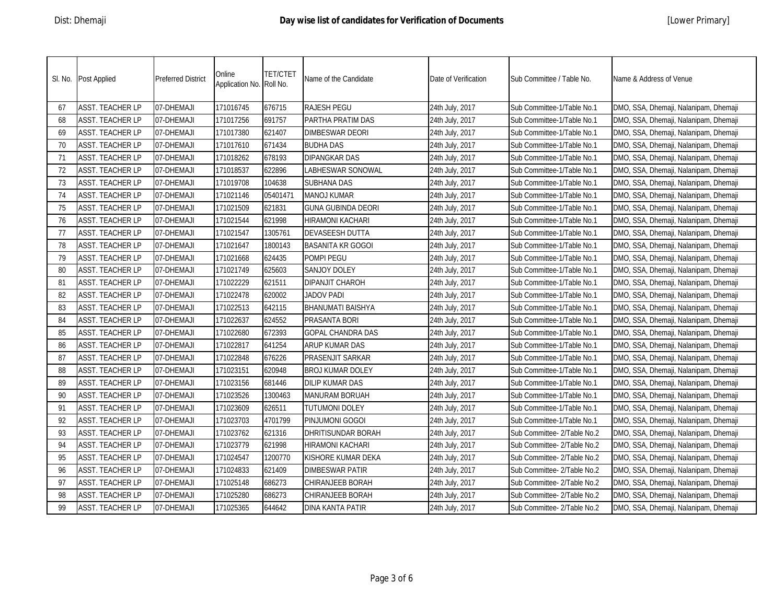|    | SI. No. Post Applied    | <b>Preferred District</b> | Online<br>Application No. Roll No. | <b>TET/CTET</b> | Name of the Candidate    | Date of Verification | Sub Committee / Table No.   | Name & Address of Venue               |
|----|-------------------------|---------------------------|------------------------------------|-----------------|--------------------------|----------------------|-----------------------------|---------------------------------------|
| 67 | <b>ASST. TEACHER LP</b> | 07-DHEMAJI                | 171016745                          | 676715          | <b>RAJESH PEGU</b>       | 24th July, 2017      | Sub Committee-1/Table No.1  | DMO, SSA, Dhemaji, Nalanipam, Dhemaji |
| 68 | <b>ASST. TEACHER LP</b> | 07-DHEMAJI                | 171017256                          | 691757          | PARTHA PRATIM DAS        | 24th July, 2017      | Sub Committee-1/Table No.1  | DMO, SSA, Dhemaji, Nalanipam, Dhemaji |
| 69 | <b>ASST. TEACHER LP</b> | 07-DHEMAJI                | 171017380                          | 621407          | <b>DIMBESWAR DEORI</b>   | 24th July, 2017      | Sub Committee-1/Table No.1  | DMO, SSA, Dhemaji, Nalanipam, Dhemaji |
| 70 | <b>ASST. TEACHER LP</b> | 07-DHEMAJI                | 171017610                          | 671434          | <b>BUDHA DAS</b>         | 24th July, 2017      | Sub Committee-1/Table No.1  | DMO, SSA, Dhemaji, Nalanipam, Dhemaji |
| 71 | <b>ASST. TEACHER LP</b> | 07-DHEMAJI                | 171018262                          | 678193          | <b>DIPANGKAR DAS</b>     | 24th July, 2017      | Sub Committee-1/Table No.1  | DMO, SSA, Dhemaji, Nalanipam, Dhemaji |
| 72 | <b>ASST. TEACHER LP</b> | 07-DHEMAJI                | 171018537                          | 622896          | LABHESWAR SONOWAL        | 24th July, 2017      | Sub Committee-1/Table No.1  | DMO, SSA, Dhemaji, Nalanipam, Dhemaji |
| 73 | <b>ASST. TEACHER LP</b> | 07-DHEMAJI                | 171019708                          | 104638          | SUBHANA DAS              | 24th July, 2017      | Sub Committee-1/Table No.1  | DMO, SSA, Dhemaji, Nalanipam, Dhemaji |
| 74 | <b>ASST. TEACHER LP</b> | 07-DHEMAJI                | 171021146                          | 05401471        | <b>MANOJ KUMAR</b>       | 24th July, 2017      | Sub Committee-1/Table No.1  | DMO, SSA, Dhemaji, Nalanipam, Dhemaji |
| 75 | <b>ASST. TEACHER LP</b> | 07-DHEMAJI                | 171021509                          | 621831          | GUNA GUBINDA DEORI       | 24th July, 2017      | Sub Committee-1/Table No.1  | DMO, SSA, Dhemaji, Nalanipam, Dhemaji |
| 76 | <b>ASST. TEACHER LP</b> | 07-DHEMAJI                | 171021544                          | 621998          | HIRAMONI KACHARI         | 24th July, 2017      | Sub Committee-1/Table No.1  | DMO, SSA, Dhemaji, Nalanipam, Dhemaji |
| 77 | <b>ASST. TEACHER LP</b> | 07-DHEMAJI                | 171021547                          | 1305761         | DEVASEESH DUTTA          | 24th July, 2017      | Sub Committee-1/Table No.1  | DMO, SSA, Dhemaji, Nalanipam, Dhemaji |
| 78 | <b>ASST. TEACHER LP</b> | 07-DHEMAJI                | 171021647                          | 1800143         | BASANITA KR GOGOI        | 24th July, 2017      | Sub Committee-1/Table No.1  | DMO, SSA, Dhemaji, Nalanipam, Dhemaji |
| 79 | ASST. TEACHER LP        | 07-DHEMAJI                | 171021668                          | 624435          | POMPI PEGU               | 24th July, 2017      | Sub Committee-1/Table No.1  | DMO, SSA, Dhemaji, Nalanipam, Dhemaji |
| 80 | ASST. TEACHER LP        | 07-DHEMAJI                | 171021749                          | 625603          | SANJOY DOLEY             | 24th July, 2017      | Sub Committee-1/Table No.1  | DMO, SSA, Dhemaji, Nalanipam, Dhemaji |
| 81 | <b>ASST. TEACHER LP</b> | 07-DHEMAJI                | 171022229                          | 621511          | DIPANJIT CHAROH          | 24th July, 2017      | Sub Committee-1/Table No.1  | DMO, SSA, Dhemaji, Nalanipam, Dhemaji |
| 82 | <b>ASST. TEACHER LP</b> | 07-DHEMAJI                | 171022478                          | 620002          | JADOV PADI               | 24th July, 2017      | Sub Committee-1/Table No.1  | DMO, SSA, Dhemaji, Nalanipam, Dhemaji |
| 83 | <b>ASST. TEACHER LP</b> | 07-DHEMAJI                | 171022513                          | 642115          | <b>BHANUMATI BAISHYA</b> | 24th July, 2017      | Sub Committee-1/Table No.1  | DMO, SSA, Dhemaji, Nalanipam, Dhemaji |
| 84 | ASST. TEACHER LP        | 07-DHEMAJI                | 171022637                          | 624552          | PRASANTA BORI            | 24th July, 2017      | Sub Committee-1/Table No.1  | DMO, SSA, Dhemaji, Nalanipam, Dhemaji |
| 85 | <b>ASST. TEACHER LP</b> | 07-DHEMAJI                | 171022680                          | 672393          | GOPAL CHANDRA DAS        | 24th July, 2017      | Sub Committee-1/Table No.1  | DMO, SSA, Dhemaji, Nalanipam, Dhemaji |
| 86 | <b>ASST. TEACHER LP</b> | 07-DHEMAJI                | 171022817                          | 641254          | ARUP KUMAR DAS           | 24th July, 2017      | Sub Committee-1/Table No.1  | DMO, SSA, Dhemaji, Nalanipam, Dhemaji |
| 87 | <b>ASST. TEACHER LP</b> | 07-DHEMAJI                | 171022848                          | 676226          | PRASENJIT SARKAR         | 24th July, 2017      | Sub Committee-1/Table No.1  | DMO, SSA, Dhemaji, Nalanipam, Dhemaji |
| 88 | <b>ASST. TEACHER LP</b> | 07-DHEMAJI                | 171023151                          | 620948          | BROJ KUMAR DOLEY         | 24th July, 2017      | Sub Committee-1/Table No.1  | DMO, SSA, Dhemaji, Nalanipam, Dhemaji |
| 89 | <b>ASST. TEACHER LP</b> | 07-DHEMAJI                | 171023156                          | 681446          | DILIP KUMAR DAS          | 24th July, 2017      | Sub Committee-1/Table No.1  | DMO, SSA, Dhemaji, Nalanipam, Dhemaji |
| 90 | <b>ASST. TEACHER LP</b> | 07-DHEMAJI                | 171023526                          | 1300463         | MANURAM BORUAH           | 24th July, 2017      | Sub Committee-1/Table No.1  | DMO, SSA, Dhemaji, Nalanipam, Dhemaji |
| 91 | <b>ASST. TEACHER LP</b> | 07-DHEMAJI                | 171023609                          | 626511          | TUTUMONI DOLEY           | 24th July, 2017      | Sub Committee-1/Table No.1  | DMO, SSA, Dhemaji, Nalanipam, Dhemaji |
| 92 | <b>ASST. TEACHER LP</b> | 07-DHEMAJI                | 171023703                          | 4701799         | PINJUMONI GOGOI          | 24th July, 2017      | Sub Committee-1/Table No.1  | DMO, SSA, Dhemaji, Nalanipam, Dhemaji |
| 93 | <b>ASST. TEACHER LP</b> | 07-DHEMAJI                | 171023762                          | 621316          | DHRITISUNDAR BORAH       | 24th July, 2017      | Sub Committee- 2/Table No.2 | DMO, SSA, Dhemaji, Nalanipam, Dhemaji |
| 94 | <b>ASST. TEACHER LP</b> | 07-DHEMAJI                | 171023779                          | 621998          | HIRAMONI KACHARI         | 24th July, 2017      | Sub Committee- 2/Table No.2 | DMO, SSA, Dhemaji, Nalanipam, Dhemaji |
| 95 | <b>ASST. TEACHER LP</b> | 07-DHEMAJI                | 171024547                          | 1200770         | KISHORE KUMAR DEKA       | 24th July, 2017      | Sub Committee- 2/Table No.2 | DMO, SSA, Dhemaji, Nalanipam, Dhemaji |
| 96 | <b>ASST. TEACHER LP</b> | 07-DHEMAJI                | 171024833                          | 621409          | <b>DIMBESWAR PATIR</b>   | 24th July, 2017      | Sub Committee- 2/Table No.2 | DMO, SSA, Dhemaji, Nalanipam, Dhemaji |
| 97 | <b>ASST. TEACHER LP</b> | 07-DHEMAJI                | 171025148                          | 686273          | CHIRANJEEB BORAH         | 24th July, 2017      | Sub Committee- 2/Table No.2 | DMO, SSA, Dhemaji, Nalanipam, Dhemaji |
| 98 | <b>ASST. TEACHER LP</b> | 07-DHEMAJI                | 171025280                          | 686273          | CHIRANJEEB BORAH         | 24th July, 2017      | Sub Committee- 2/Table No.2 | DMO, SSA, Dhemaji, Nalanipam, Dhemaji |
| 99 | <b>ASST. TEACHER LP</b> | 07-DHEMAJI                | 171025365                          | 644642          | DINA KANTA PATIR         | 24th July, 2017      | Sub Committee- 2/Table No.2 | DMO, SSA, Dhemaji, Nalanipam, Dhemaji |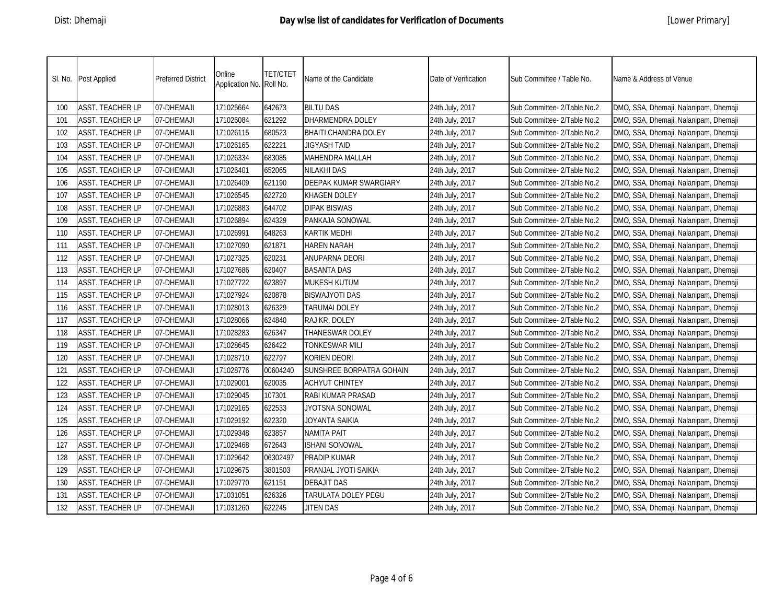|     | SI. No. Post Applied    | <b>Preferred District</b> | Online<br>Application No. Roll No. | <b>TET/CTET</b> | Name of the Candidate    | Date of Verification | Sub Committee / Table No.   | Name & Address of Venue               |
|-----|-------------------------|---------------------------|------------------------------------|-----------------|--------------------------|----------------------|-----------------------------|---------------------------------------|
| 100 | <b>ASST. TEACHER LP</b> | 07-DHEMAJI                | 171025664                          | 642673          | <b>BILTU DAS</b>         | 24th July, 2017      | Sub Committee- 2/Table No.2 | DMO, SSA, Dhemaji, Nalanipam, Dhemaji |
| 101 | <b>ASST. TEACHER LP</b> | 07-DHEMAJI                | 171026084                          | 621292          | DHARMENDRA DOLEY         | 24th July, 2017      | Sub Committee- 2/Table No.2 | DMO, SSA, Dhemaji, Nalanipam, Dhemaji |
| 102 | <b>ASST. TEACHER LP</b> | 07-DHEMAJI                | 171026115                          | 680523          | BHAITI CHANDRA DOLEY     | 24th July, 2017      | Sub Committee- 2/Table No.2 | DMO, SSA, Dhemaji, Nalanipam, Dhemaji |
| 103 | <b>ASST. TEACHER LP</b> | 07-DHEMAJI                | 171026165                          | 622221          | JIGYASH TAID             | 24th July, 2017      | Sub Committee- 2/Table No.2 | DMO, SSA, Dhemaji, Nalanipam, Dhemaji |
| 104 | <b>ASST. TEACHER LP</b> | 07-DHEMAJI                | 171026334                          | 683085          | MAHENDRA MALLAH          | 24th July, 2017      | Sub Committee- 2/Table No.2 | DMO, SSA, Dhemaji, Nalanipam, Dhemaji |
| 105 | <b>ASST. TEACHER LP</b> | 07-DHEMAJI                | 171026401                          | 652065          | NILAKHI DAS              | 24th July, 2017      | Sub Committee- 2/Table No.2 | DMO, SSA, Dhemaji, Nalanipam, Dhemaji |
| 106 | <b>ASST. TEACHER LP</b> | 07-DHEMAJI                | 171026409                          | 621190          | DEEPAK KUMAR SWARGIARY   | 24th July, 2017      | Sub Committee- 2/Table No.2 | DMO, SSA, Dhemaji, Nalanipam, Dhemaji |
| 107 | <b>ASST. TEACHER LP</b> | 07-DHEMAJI                | 171026545                          | 622720          | <b>KHAGEN DOLEY</b>      | 24th July, 2017      | Sub Committee- 2/Table No.2 | DMO, SSA, Dhemaji, Nalanipam, Dhemaji |
| 108 | <b>ASST. TEACHER LP</b> | 07-DHEMAJI                | 171026883                          | 644702          | DIPAK BISWAS             | 24th July, 2017      | Sub Committee- 2/Table No.2 | DMO, SSA, Dhemaji, Nalanipam, Dhemaji |
| 109 | <b>ASST. TEACHER LP</b> | 07-DHEMAJI                | 171026894                          | 624329          | PANKAJA SONOWAL          | 24th July, 2017      | Sub Committee- 2/Table No.2 | DMO, SSA, Dhemaji, Nalanipam, Dhemaji |
| 110 | <b>ASST. TEACHER LP</b> | 07-DHEMAJI                | 171026991                          | 648263          | KARTIK MEDHI             | 24th July, 2017      | Sub Committee- 2/Table No.2 | DMO, SSA, Dhemaji, Nalanipam, Dhemaji |
| 111 | <b>ASST. TEACHER LP</b> | 07-DHEMAJI                | 171027090                          | 621871          | <b>HAREN NARAH</b>       | 24th July, 2017      | Sub Committee- 2/Table No.2 | DMO, SSA, Dhemaji, Nalanipam, Dhemaji |
| 112 | <b>ASST. TEACHER LP</b> | 07-DHEMAJI                | 171027325                          | 620231          | ANUPARNA DEORI           | 24th July, 2017      | Sub Committee- 2/Table No.2 | DMO, SSA, Dhemaji, Nalanipam, Dhemaji |
| 113 | ASST. TEACHER LP        | 07-DHEMAJI                | 171027686                          | 620407          | <b>BASANTA DAS</b>       | 24th July, 2017      | Sub Committee- 2/Table No.2 | DMO, SSA, Dhemaji, Nalanipam, Dhemaji |
| 114 | <b>ASST. TEACHER LP</b> | 07-DHEMAJI                | 171027722                          | 623897          | MUKESH KUTUM             | 24th July, 2017      | Sub Committee- 2/Table No.2 | DMO, SSA, Dhemaji, Nalanipam, Dhemaji |
| 115 | <b>ASST. TEACHER LP</b> | 07-DHEMAJI                | 171027924                          | 620878          | <b>BISWAJYOTI DAS</b>    | 24th July, 2017      | Sub Committee- 2/Table No.2 | DMO, SSA, Dhemaji, Nalanipam, Dhemaji |
| 116 | <b>ASST. TEACHER LP</b> | 07-DHEMAJI                | 171028013                          | 626329          | TARUMAI DOLEY            | 24th July, 2017      | Sub Committee- 2/Table No.2 | DMO, SSA, Dhemaji, Nalanipam, Dhemaji |
| 117 | ASST. TEACHER LP        | 07-DHEMAJI                | 171028066                          | 624840          | RAJ KR. DOLEY            | 24th July, 2017      | Sub Committee- 2/Table No.2 | DMO, SSA, Dhemaji, Nalanipam, Dhemaji |
| 118 | <b>ASST. TEACHER LP</b> | 07-DHEMAJI                | 171028283                          | 626347          | THANESWAR DOLEY          | 24th July, 2017      | Sub Committee- 2/Table No.2 | DMO, SSA, Dhemaji, Nalanipam, Dhemaji |
| 119 | <b>ASST. TEACHER LP</b> | 07-DHEMAJI                | 171028645                          | 626422          | TONKESWAR MILI           | 24th July, 2017      | Sub Committee- 2/Table No.2 | DMO, SSA, Dhemaji, Nalanipam, Dhemaji |
| 120 | <b>ASST. TEACHER LP</b> | 07-DHEMAJI                | 171028710                          | 622797          | KORIEN DEORI             | 24th July, 2017      | Sub Committee- 2/Table No.2 | DMO, SSA, Dhemaji, Nalanipam, Dhemaji |
| 121 | <b>ASST. TEACHER LP</b> | 07-DHEMAJI                | 171028776                          | 00604240        | SUNSHREE BORPATRA GOHAIN | 24th July, 2017      | Sub Committee- 2/Table No.2 | DMO, SSA, Dhemaji, Nalanipam, Dhemaji |
| 122 | <b>ASST. TEACHER LP</b> | 07-DHEMAJI                | 171029001                          | 620035          | <b>ACHYUT CHINTEY</b>    | 24th July, 2017      | Sub Committee- 2/Table No.2 | DMO, SSA, Dhemaji, Nalanipam, Dhemaji |
| 123 | <b>ASST. TEACHER LP</b> | 07-DHEMAJI                | 171029045                          | 107301          | RABI KUMAR PRASAD        | 24th July, 2017      | Sub Committee- 2/Table No.2 | DMO, SSA, Dhemaji, Nalanipam, Dhemaji |
| 124 | <b>ASST. TEACHER LP</b> | 07-DHEMAJI                | 171029165                          | 622533          | JYOTSNA SONOWAL          | 24th July, 2017      | Sub Committee- 2/Table No.2 | DMO, SSA, Dhemaji, Nalanipam, Dhemaji |
| 125 | <b>ASST. TEACHER LP</b> | 07-DHEMAJI                | 171029192                          | 622320          | JOYANTA SAIKIA           | 24th July, 2017      | Sub Committee- 2/Table No.2 | DMO, SSA, Dhemaji, Nalanipam, Dhemaji |
| 126 | <b>ASST. TEACHER LP</b> | 07-DHEMAJI                | 171029348                          | 623857          | <b>NAMITA PAIT</b>       | 24th July, 2017      | Sub Committee- 2/Table No.2 | DMO, SSA, Dhemaji, Nalanipam, Dhemaji |
| 127 | <b>ASST. TEACHER LP</b> | 07-DHEMAJI                | 171029468                          | 672643          | <b>ISHANI SONOWAL</b>    | 24th July, 2017      | Sub Committee- 2/Table No.2 | DMO, SSA, Dhemaji, Nalanipam, Dhemaji |
| 128 | <b>ASST. TEACHER LP</b> | 07-DHEMAJI                | 171029642                          | 06302497        | PRADIP KUMAR             | 24th July, 2017      | Sub Committee- 2/Table No.2 | DMO, SSA, Dhemaji, Nalanipam, Dhemaji |
| 129 | <b>ASST. TEACHER LP</b> | 07-DHEMAJI                | 171029675                          | 3801503         | PRANJAL JYOTI SAIKIA     | 24th July, 2017      | Sub Committee- 2/Table No.2 | DMO, SSA, Dhemaji, Nalanipam, Dhemaji |
| 130 | <b>ASST. TEACHER LP</b> | 07-DHEMAJI                | 171029770                          | 621151          | <b>DEBAJIT DAS</b>       | 24th July, 2017      | Sub Committee- 2/Table No.2 | DMO, SSA, Dhemaji, Nalanipam, Dhemaji |
| 131 | <b>ASST. TEACHER LP</b> | 07-DHEMAJI                | 171031051                          | 626326          | TARULATA DOLEY PEGU      | 24th July, 2017      | Sub Committee- 2/Table No.2 | DMO, SSA, Dhemaji, Nalanipam, Dhemaji |
| 132 | ASST. TEACHER LP        | 07-DHEMAJI                | 171031260                          | 622245          | <b>JITEN DAS</b>         | 24th July, 2017      | Sub Committee- 2/Table No.2 | DMO, SSA, Dhemaji, Nalanipam, Dhemaji |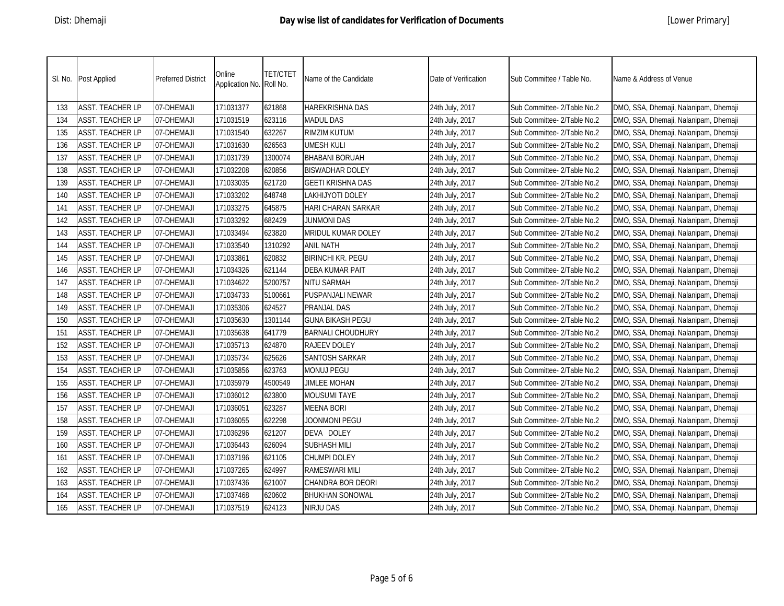|     | SI. No. Post Applied    | <b>Preferred District</b> | Online<br>Application No. Roll No. | <b>TET/CTET</b> | Name of the Candidate    | Date of Verification | Sub Committee / Table No.   | Name & Address of Venue               |
|-----|-------------------------|---------------------------|------------------------------------|-----------------|--------------------------|----------------------|-----------------------------|---------------------------------------|
| 133 | <b>ASST. TEACHER LP</b> | 07-DHEMAJI                | 171031377                          | 621868          | HAREKRISHNA DAS          | 24th July, 2017      | Sub Committee- 2/Table No.2 | DMO, SSA, Dhemaji, Nalanipam, Dhemaji |
| 134 | <b>ASST. TEACHER LP</b> | 07-DHEMAJI                | 171031519                          | 623116          | <b>MADUL DAS</b>         | 24th July, 2017      | Sub Committee- 2/Table No.2 | DMO, SSA, Dhemaji, Nalanipam, Dhemaji |
| 135 | <b>ASST. TEACHER LP</b> | 07-DHEMAJI                | 171031540                          | 632267          | RIMZIM KUTUM             | 24th July, 2017      | Sub Committee- 2/Table No.2 | DMO, SSA, Dhemaji, Nalanipam, Dhemaji |
| 136 | <b>ASST. TEACHER LP</b> | 07-DHEMAJI                | 171031630                          | 626563          | UMESH KULI               | 24th July, 2017      | Sub Committee- 2/Table No.2 | DMO, SSA, Dhemaji, Nalanipam, Dhemaji |
| 137 | <b>ASST. TEACHER LP</b> | 07-DHEMAJI                | 171031739                          | 1300074         | <b>BHABANI BORUAH</b>    | 24th July, 2017      | Sub Committee- 2/Table No.2 | DMO, SSA, Dhemaji, Nalanipam, Dhemaji |
| 138 | <b>ASST. TEACHER LP</b> | 07-DHEMAJI                | 171032208                          | 620856          | BISWADHAR DOLEY          | 24th July, 2017      | Sub Committee- 2/Table No.2 | DMO, SSA, Dhemaji, Nalanipam, Dhemaji |
| 139 | <b>ASST. TEACHER LP</b> | 07-DHEMAJI                | 171033035                          | 621720          | GEETI KRISHNA DAS        | 24th July, 2017      | Sub Committee- 2/Table No.2 | DMO, SSA, Dhemaji, Nalanipam, Dhemaji |
| 140 | <b>ASST. TEACHER LP</b> | 07-DHEMAJI                | 171033202                          | 648748          | LAKHIJYOTI DOLEY         | 24th July, 2017      | Sub Committee- 2/Table No.2 | DMO, SSA, Dhemaji, Nalanipam, Dhemaji |
| 141 | <b>ASST. TEACHER LP</b> | 07-DHEMAJI                | 171033275                          | 645875          | HARI CHARAN SARKAR       | 24th July, 2017      | Sub Committee- 2/Table No.2 | DMO, SSA, Dhemaji, Nalanipam, Dhemaji |
| 142 | <b>ASST. TEACHER LP</b> | 07-DHEMAJI                | 171033292                          | 682429          | <b>JUNMONI DAS</b>       | 24th July, 2017      | Sub Committee- 2/Table No.2 | DMO, SSA, Dhemaji, Nalanipam, Dhemaji |
| 143 | <b>ASST. TEACHER LP</b> | 07-DHEMAJI                | 171033494                          | 623820          | MRIDUL KUMAR DOLEY       | 24th July, 2017      | Sub Committee- 2/Table No.2 | DMO, SSA, Dhemaji, Nalanipam, Dhemaji |
| 144 | <b>ASST. TEACHER LP</b> | 07-DHEMAJI                | 171033540                          | 1310292         | ANIL NATH                | 24th July, 2017      | Sub Committee- 2/Table No.2 | DMO, SSA, Dhemaji, Nalanipam, Dhemaji |
| 145 | <b>ASST. TEACHER LP</b> | 07-DHEMAJI                | 171033861                          | 620832          | <b>BIRINCHI KR. PEGU</b> | 24th July, 2017      | Sub Committee- 2/Table No.2 | DMO, SSA, Dhemaji, Nalanipam, Dhemaji |
| 146 | <b>ASST. TEACHER LP</b> | 07-DHEMAJI                | 171034326                          | 621144          | DEBA KUMAR PAIT          | 24th July, 2017      | Sub Committee- 2/Table No.2 | DMO, SSA, Dhemaji, Nalanipam, Dhemaji |
| 147 | ASST. TEACHER LP        | 07-DHEMAJI                | 171034622                          | 5200757         | NITU SARMAH              | 24th July, 2017      | Sub Committee- 2/Table No.2 | DMO, SSA, Dhemaji, Nalanipam, Dhemaji |
| 148 | <b>ASST. TEACHER LP</b> | 07-DHEMAJI                | 171034733                          | 5100661         | PUSPANJALI NEWAR         | 24th July, 2017      | Sub Committee- 2/Table No.2 | DMO, SSA, Dhemaji, Nalanipam, Dhemaji |
| 149 | <b>ASST. TEACHER LP</b> | 07-DHEMAJI                | 171035306                          | 624527          | PRANJAL DAS              | 24th July, 2017      | Sub Committee- 2/Table No.2 | DMO, SSA, Dhemaji, Nalanipam, Dhemaji |
| 150 | <b>ASST. TEACHER LP</b> | 07-DHEMAJI                | 171035630                          | 1301144         | GUNA BIKASH PEGU         | 24th July, 2017      | Sub Committee- 2/Table No.2 | DMO, SSA, Dhemaji, Nalanipam, Dhemaji |
| 151 | <b>ASST. TEACHER LP</b> | 07-DHEMAJI                | 171035638                          | 641779          | BARNALI CHOUDHURY        | 24th July, 2017      | Sub Committee- 2/Table No.2 | DMO, SSA, Dhemaji, Nalanipam, Dhemaji |
| 152 | <b>ASST. TEACHER LP</b> | 07-DHEMAJI                | 171035713                          | 624870          | RAJEEV DOLEY             | 24th July, 2017      | Sub Committee- 2/Table No.2 | DMO, SSA, Dhemaji, Nalanipam, Dhemaji |
| 153 | ASST. TEACHER LP        | 07-DHEMAJI                | 171035734                          | 625626          | SANTOSH SARKAR           | 24th July, 2017      | Sub Committee- 2/Table No.2 | DMO, SSA, Dhemaji, Nalanipam, Dhemaji |
| 154 | <b>ASST. TEACHER LP</b> | 07-DHEMAJI                | 171035856                          | 623763          | MONUJ PEGU               | 24th July, 2017      | Sub Committee- 2/Table No.2 | DMO, SSA, Dhemaji, Nalanipam, Dhemaji |
| 155 | <b>ASST. TEACHER LP</b> | 07-DHEMAJI                | 171035979                          | 4500549         | <b>JIMLEE MOHAN</b>      | 24th July, 2017      | Sub Committee- 2/Table No.2 | DMO, SSA, Dhemaji, Nalanipam, Dhemaji |
| 156 | <b>ASST. TEACHER LP</b> | 07-DHEMAJI                | 171036012                          | 623800          | <b>MOUSUMI TAYE</b>      | 24th July, 2017      | Sub Committee- 2/Table No.2 | DMO, SSA, Dhemaji, Nalanipam, Dhemaji |
| 157 | <b>ASST. TEACHER LP</b> | 07-DHEMAJI                | 171036051                          | 623287          | <b>MEENA BORI</b>        | 24th July, 2017      | Sub Committee- 2/Table No.2 | DMO, SSA, Dhemaji, Nalanipam, Dhemaji |
| 158 | <b>ASST. TEACHER LP</b> | 07-DHEMAJI                | 171036055                          | 622298          | JOONMONI PEGU            | 24th July, 2017      | Sub Committee- 2/Table No.2 | DMO, SSA, Dhemaji, Nalanipam, Dhemaji |
| 159 | <b>ASST. TEACHER LP</b> | 07-DHEMAJI                | 171036296                          | 621207          | DEVA DOLEY               | 24th July, 2017      | Sub Committee- 2/Table No.2 | DMO, SSA, Dhemaji, Nalanipam, Dhemaji |
| 160 | <b>ASST. TEACHER LP</b> | 07-DHEMAJI                | 171036443                          | 626094          | SUBHASH MILI             | 24th July, 2017      | Sub Committee- 2/Table No.2 | DMO, SSA, Dhemaji, Nalanipam, Dhemaji |
| 161 | <b>ASST. TEACHER LP</b> | 07-DHEMAJI                | 171037196                          | 621105          | CHUMPI DOLEY             | 24th July, 2017      | Sub Committee- 2/Table No.2 | DMO, SSA, Dhemaji, Nalanipam, Dhemaji |
| 162 | <b>ASST. TEACHER LP</b> | 07-DHEMAJI                | 171037265                          | 624997          | RAMESWARI MILI           | 24th July, 2017      | Sub Committee- 2/Table No.2 | DMO, SSA, Dhemaji, Nalanipam, Dhemaji |
| 163 | <b>ASST. TEACHER LP</b> | 07-DHEMAJI                | 171037436                          | 621007          | CHANDRA BOR DEORI        | 24th July, 2017      | Sub Committee- 2/Table No.2 | DMO, SSA, Dhemaji, Nalanipam, Dhemaji |
| 164 | <b>ASST. TEACHER LP</b> | 07-DHEMAJI                | 171037468                          | 620602          | <b>BHUKHAN SONOWAL</b>   | 24th July, 2017      | Sub Committee- 2/Table No.2 | DMO, SSA, Dhemaji, Nalanipam, Dhemaji |
| 165 | <b>ASST. TEACHER LP</b> | 07-DHEMAJI                | 171037519                          | 624123          | NIRJU DAS                | 24th July, 2017      | Sub Committee- 2/Table No.2 | DMO, SSA, Dhemaji, Nalanipam, Dhemaji |